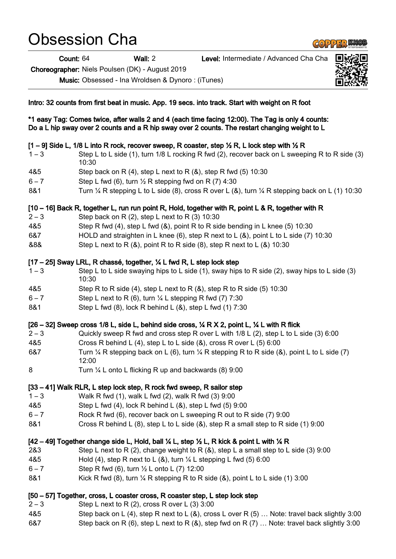# Obsession Cha

Count: 64 Wall: 2 Level: Intermediate / Advanced Cha Cha

Choreographer: Niels Poulsen (DK) - August 2019

Music: Obsessed - Ina Wroldsen & Dynoro : (iTunes)

Intro: 32 counts from first beat in music. App. 19 secs. into track. Start with weight on R foot

\*1 easy Tag: Comes twice, after walls 2 and 4 (each time facing 12:00). The Tag is only 4 counts: Do a L hip sway over 2 counts and a R hip sway over 2 counts. The restart changing weight to L

# $[1 - 9]$  Side L, 1/8 L into R rock, recover sweep, R coaster, step  $\frac{1}{2}$  R, L lock step with  $\frac{1}{2}$  R

- 1 3 Step L to L side (1), turn 1/8 L rocking R fwd (2), recover back on L sweeping R to R side (3) 10:30
- 4&5 Step back on R (4), step L next to R (&), step R fwd (5) 10:30
- $6 7$  Step L fwd (6), turn  $\frac{1}{2}$  R stepping fwd on R (7) 4:30
- 8&1 Turn ¼ R stepping L to L side (8), cross R over L (8), turn ¼ R stepping back on L (1) 10:30

[10 – 16] Back R, together L, run run point R, Hold, together with R, point L & R, together with R

- $2-3$  Step back on R (2), step L next to R (3) 10:30
- 4&5 Step R fwd (4), step L fwd (&), point R to R side bending in L knee (5) 10:30
- 6&7 HOLD and straighten in L knee (6), step R next to L (&), point L to L side (7) 10:30
- &8& Step L next to R (&), point R to R side (8), step R next to L (&) 10:30

# [17 – 25] Sway LRL, R chassé, together, ¼ L fwd R, L step lock step

- 1 3 Step L to L side swaying hips to L side (1), sway hips to R side (2), sway hips to L side (3) 10:30
- 4&5 Step R to R side (4), step L next to R (&), step R to R side (5) 10:30
- $6 7$  Step L next to R (6), turn  $\frac{1}{4}$  L stepping R fwd (7) 7:30
- 8&1 Step L fwd (8), lock R behind L (&), step L fwd (1) 7:30

# $[26 - 32]$  Sweep cross 1/8 L, side L, behind side cross,  $\frac{1}{4}$  R X 2, point L,  $\frac{1}{4}$  L with R flick

- 2 3 Quickly sweep R fwd and cross step R over L with 1/8 L (2), step L to L side (3) 6:00
- 4&5 Cross R behind L (4), step L to L side (&), cross R over L (5) 6:00
- 6&7 Turn  $\frac{1}{4}$  R stepping back on L (6), turn  $\frac{1}{4}$  R stepping R to R side (8), point L to L side (7) 12:00
- 8 Turn ¼ L onto L flicking R up and backwards (8) 9:00

### [33 – 41] Walk RLR, L step lock step, R rock fwd sweep, R sailor step

- 1 3 Walk R fwd (1), walk L fwd (2), walk R fwd (3) 9:00
- 4&5 Step L fwd (4), lock R behind L (&), step L fwd (5) 9:00
- 6 7 Rock R fwd (6), recover back on L sweeping R out to R side (7) 9:00
- 8&1 Cross R behind L (8), step L to L side (&), step R a small step to R side (1) 9:00

# $[42 - 49]$  Together change side L, Hold, ball  $\%$  L, step  $\%$  L, R kick & point L with  $\%$  R

- 2&3 Step L next to R (2), change weight to R (&), step L a small step to L side (3) 9:00
- 4&5 Hold (4), step R next to L (&), turn ¼ L stepping L fwd (5) 6:00
- $6 7$  Step R fwd (6), turn  $\frac{1}{2}$  L onto L (7) 12:00
- 8&1 Kick R fwd (8), turn  $\frac{1}{4}$  R stepping R to R side (8), point L to L side (1) 3:00

### [50 – 57] Together, cross, L coaster cross, R coaster step, L step lock step

- $2-3$  Step L next to R (2), cross R over L (3) 3:00
- 4&5 Step back on L (4), step R next to L (&), cross L over R (5) … Note: travel back slightly 3:00 6&7 Step back on R (6), step L next to R (&), step fwd on R (7) … Note: travel back slightly 3:00